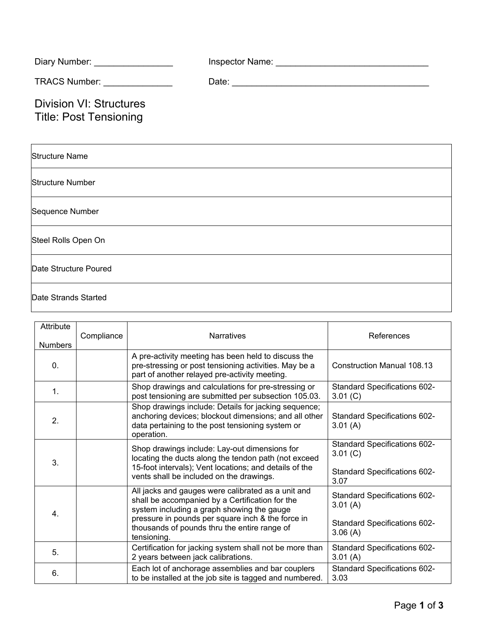| Diary Number: _________________                                 |  |  |
|-----------------------------------------------------------------|--|--|
| TRACS Number: _______________                                   |  |  |
| <b>Division VI: Structures</b><br><b>Title: Post Tensioning</b> |  |  |
| <b>Structure Name</b>                                           |  |  |
| <b>Structure Number</b>                                         |  |  |
| Sequence Number                                                 |  |  |
| Steel Rolls Open On                                             |  |  |
| Date Structure Poured                                           |  |  |
| Date Strands Started                                            |  |  |

| Attribute<br><b>Numbers</b> | Compliance | <b>Narratives</b>                                                                                                                                                                                                                                                       | References                                                                                       |
|-----------------------------|------------|-------------------------------------------------------------------------------------------------------------------------------------------------------------------------------------------------------------------------------------------------------------------------|--------------------------------------------------------------------------------------------------|
| 0.                          |            | A pre-activity meeting has been held to discuss the<br>pre-stressing or post tensioning activities. May be a<br>part of another relayed pre-activity meeting.                                                                                                           | Construction Manual 108.13                                                                       |
| 1.                          |            | Shop drawings and calculations for pre-stressing or<br>post tensioning are submitted per subsection 105.03.                                                                                                                                                             | <b>Standard Specifications 602-</b><br>3.01 (C)                                                  |
| 2.                          |            | Shop drawings include: Details for jacking sequence;<br>anchoring devices; blockout dimensions; and all other<br>data pertaining to the post tensioning system or<br>operation.                                                                                         | Standard Specifications 602-<br>3.01(A)                                                          |
| 3.                          |            | Shop drawings include: Lay-out dimensions for<br>locating the ducts along the tendon path (not exceed<br>15-foot intervals); Vent locations; and details of the<br>vents shall be included on the drawings.                                                             | <b>Standard Specifications 602-</b><br>3.01 (C)<br><b>Standard Specifications 602-</b><br>3.07   |
| 4.                          |            | All jacks and gauges were calibrated as a unit and<br>shall be accompanied by a Certification for the<br>system including a graph showing the gauge<br>pressure in pounds per square inch & the force in<br>thousands of pounds thru the entire range of<br>tensioning. | <b>Standard Specifications 602-</b><br>3.01(A)<br><b>Standard Specifications 602-</b><br>3.06(A) |
| 5.                          |            | Certification for jacking system shall not be more than<br>2 years between jack calibrations.                                                                                                                                                                           | <b>Standard Specifications 602-</b><br>3.01(A)                                                   |
| 6.                          |            | Each lot of anchorage assemblies and bar couplers<br>to be installed at the job site is tagged and numbered.                                                                                                                                                            | <b>Standard Specifications 602-</b><br>3.03                                                      |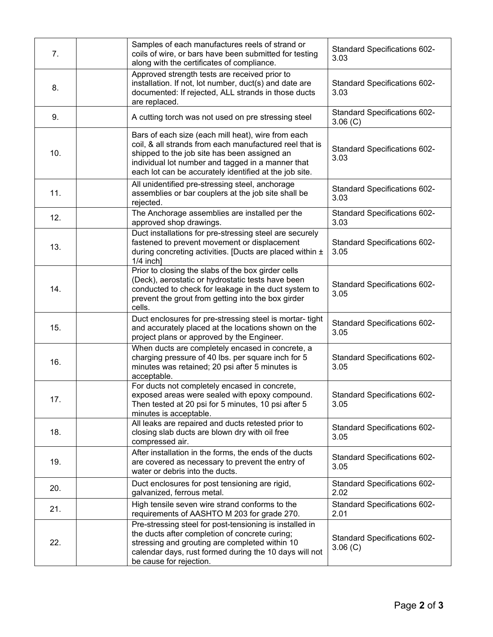| 7.  | Samples of each manufactures reels of strand or<br>coils of wire, or bars have been submitted for testing<br>along with the certificates of compliance.                                                                                                                      | Standard Specifications 602-<br>3.03            |
|-----|------------------------------------------------------------------------------------------------------------------------------------------------------------------------------------------------------------------------------------------------------------------------------|-------------------------------------------------|
| 8.  | Approved strength tests are received prior to<br>installation. If not, lot number, duct(s) and date are<br>documented: If rejected, ALL strands in those ducts<br>are replaced.                                                                                              | <b>Standard Specifications 602-</b><br>3.03     |
| 9.  | A cutting torch was not used on pre stressing steel                                                                                                                                                                                                                          | <b>Standard Specifications 602-</b><br>3.06 (C) |
| 10. | Bars of each size (each mill heat), wire from each<br>coil, & all strands from each manufactured reel that is<br>shipped to the job site has been assigned an<br>individual lot number and tagged in a manner that<br>each lot can be accurately identified at the job site. | Standard Specifications 602-<br>3.03            |
| 11. | All unidentified pre-stressing steel, anchorage<br>assemblies or bar couplers at the job site shall be<br>rejected.                                                                                                                                                          | Standard Specifications 602-<br>3.03            |
| 12. | The Anchorage assemblies are installed per the<br>approved shop drawings.                                                                                                                                                                                                    | <b>Standard Specifications 602-</b><br>3.03     |
| 13. | Duct installations for pre-stressing steel are securely<br>fastened to prevent movement or displacement<br>during concreting activities. [Ducts are placed within ±<br>$1/4$ inch]                                                                                           | Standard Specifications 602-<br>3.05            |
| 14. | Prior to closing the slabs of the box girder cells<br>(Deck), aerostatic or hydrostatic tests have been<br>conducted to check for leakage in the duct system to<br>prevent the grout from getting into the box girder<br>cells.                                              | Standard Specifications 602-<br>3.05            |
| 15. | Duct enclosures for pre-stressing steel is mortar-tight<br>and accurately placed at the locations shown on the<br>project plans or approved by the Engineer.                                                                                                                 | Standard Specifications 602-<br>3.05            |
| 16. | When ducts are completely encased in concrete, a<br>charging pressure of 40 lbs. per square inch for 5<br>minutes was retained; 20 psi after 5 minutes is<br>acceptable.                                                                                                     | Standard Specifications 602-<br>3.05            |
| 17. | For ducts not completely encased in concrete,<br>exposed areas were sealed with epoxy compound.<br>Then tested at 20 psi for 5 minutes, 10 psi after 5<br>minutes is acceptable.                                                                                             | <b>Standard Specifications 602-</b><br>3.05     |
| 18. | All leaks are repaired and ducts retested prior to<br>closing slab ducts are blown dry with oil free<br>compressed air.                                                                                                                                                      | <b>Standard Specifications 602-</b><br>3.05     |
| 19. | After installation in the forms, the ends of the ducts<br>are covered as necessary to prevent the entry of<br>water or debris into the ducts.                                                                                                                                | Standard Specifications 602-<br>3.05            |
| 20. | Duct enclosures for post tensioning are rigid,<br>galvanized, ferrous metal.                                                                                                                                                                                                 | Standard Specifications 602-<br>2.02            |
| 21. | High tensile seven wire strand conforms to the<br>requirements of AASHTO M 203 for grade 270.                                                                                                                                                                                | Standard Specifications 602-<br>2.01            |
| 22. | Pre-stressing steel for post-tensioning is installed in<br>the ducts after completion of concrete curing;<br>stressing and grouting are completed within 10<br>calendar days, rust formed during the 10 days will not<br>be cause for rejection.                             | Standard Specifications 602-<br>$3.06$ (C)      |